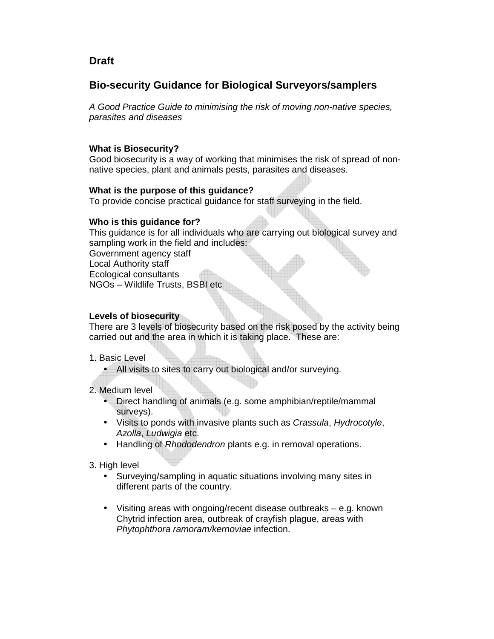## **Draft**

# **Bio-security Guidance for Biological Surveyors/samplers**

A Good Practice Guide to minimising the risk of moving non-native species, parasites and diseases

### **What is Biosecurity?**

Good biosecurity is a way of working that minimises the risk of spread of nonnative species, plant and animals pests, parasites and diseases.

### **What is the purpose of this guidance?**

To provide concise practical guidance for staff surveying in the field.

### **Who is this guidance for?**

This guidance is for all individuals who are carrying out biological survey and sampling work in the field and includes: Government agency staff Local Authority staff

Ecological consultants

NGOs – Wildlife Trusts, BSBI etc

### **Levels of biosecurity**

There are 3 levels of biosecurity based on the risk posed by the activity being carried out and the area in which it is taking place. These are:

- 1. Basic Level
	- All visits to sites to carry out biological and/or surveying.

## 2. Medium level

- Direct handling of animals (e.g. some amphibian/reptile/mammal surveys).
- Visits to ponds with invasive plants such as Crassula, Hydrocotyle, Azolla, Ludwigia etc.
- Handling of Rhododendron plants e.g. in removal operations.
- 3. High level
	- Surveying/sampling in aquatic situations involving many sites in different parts of the country.
	- Visiting areas with ongoing/recent disease outbreaks e.g. known Chytrid infection area, outbreak of crayfish plague, areas with Phytophthora ramoram/kernoviae infection.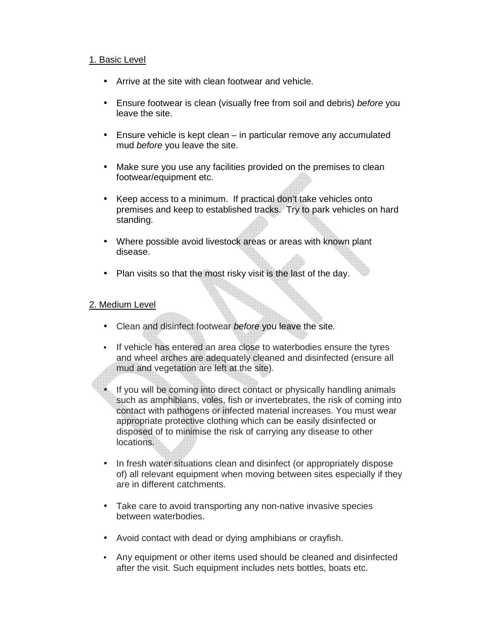#### 1. Basic Level

- Arrive at the site with clean footwear and vehicle.
- Ensure footwear is clean (visually free from soil and debris) before you leave the site.
- Ensure vehicle is kept clean in particular remove any accumulated mud before you leave the site.
- Make sure you use any facilities provided on the premises to clean footwear/equipment etc.
- Keep access to a minimum. If practical don't take vehicles onto premises and keep to established tracks. Try to park vehicles on hard standing.
- Where possible avoid livestock areas or areas with known plant disease.
- Plan visits so that the most risky visit is the last of the day.

### 2. Medium Level

- Clean and disinfect footwear before you leave the site.
- If vehicle has entered an area close to waterbodies ensure the tyres and wheel arches are adequately cleaned and disinfected (ensure all mud and vegetation are left at the site).
- If you will be coming into direct contact or physically handling animals such as amphibians, voles, fish or invertebrates, the risk of coming into contact with pathogens or infected material increases. You must wear appropriate protective clothing which can be easily disinfected or disposed of to minimise the risk of carrying any disease to other locations.
- In fresh water situations clean and disinfect (or appropriately dispose of) all relevant equipment when moving between sites especially if they are in different catchments.
- Take care to avoid transporting any non-native invasive species between waterbodies.
- Avoid contact with dead or dying amphibians or crayfish.
- Any equipment or other items used should be cleaned and disinfected after the visit. Such equipment includes nets bottles, boats etc.